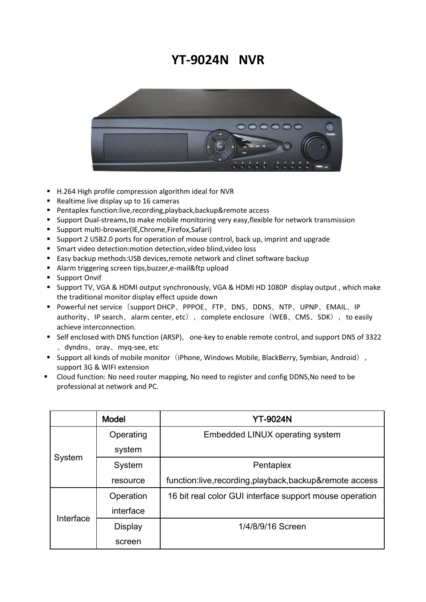## **YT-9024N NVR**



- H.264 High profile compression algorithm ideal for NVR
- Realtime live display up to 16 cameras
- Pentaplex function:live, recording, playback, backup&remote access
- **Support Dual-streams, to make mobile monitoring very easy, flexible for network transmission**
- Support multi-browser(IE,Chrome,Firefox,Safari)
- Support 2 USB2.0 ports for operation of mouse control, back up, imprint and upgrade
- Smart video detection:motion detection,video blind,video loss
- Easy backup methods: USB devices, remote network and clinet software backup
- Alarm triggering screen tips,buzzer,e-mail&ftp upload
- **Support Onvif**
- Support TV, VGA & HDMI output synchronously, VGA & HDMI HD 1080P display output , which make the traditional monitor display effect upside down
- Powerful net service(support DHCP、PPPOE、FTP、DNS、DDNS、NTP、UPNP、EMAIL、IP authority、IP search、alarm center, etc), complete enclosure(WEB、CMS、SDK), to easily achieve interconnection.
- Self enclosed with DNS function (ARSP), one-key to enable remote control, and support DNS of 3322 、dyndns、oray、myq-see, etc
- Support all kinds of mobile monitor (iPhone, Windows Mobile, BlackBerry, Symbian, Android), support 3G & WIFI extension
- Cloud function: No need router mapping, No need to register and config DDNS,No need to be professional at network and PC.

|           | <b>Model</b>   | <b>YT-9024N</b>                                         |
|-----------|----------------|---------------------------------------------------------|
| System    | Operating      | Embedded LINUX operating system                         |
|           | system         |                                                         |
|           | System         | Pentaplex                                               |
|           | resource       | function:live,recording,playback,backup&remote access   |
| Interface | Operation      | 16 bit real color GUI interface support mouse operation |
|           | interface      |                                                         |
|           | <b>Display</b> | 1/4/8/9/16 Screen                                       |
|           | screen         |                                                         |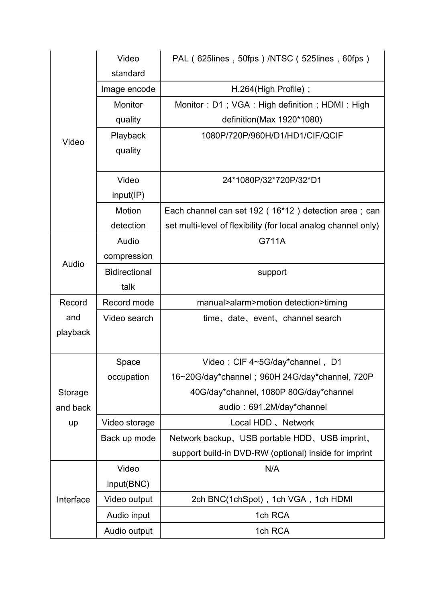| Video     | Video                | PAL (625lines, 50fps) /NTSC (525lines, 60fps)                  |
|-----------|----------------------|----------------------------------------------------------------|
|           | standard             |                                                                |
|           | Image encode         | H.264(High Profile);                                           |
|           | Monitor              | Monitor: D1; VGA: High definition; HDMI: High                  |
|           | quality              | definition(Max 1920*1080)                                      |
|           | Playback             | 1080P/720P/960H/D1/HD1/CIF/QCIF                                |
|           | quality              |                                                                |
|           |                      |                                                                |
|           | Video                | 24*1080P/32*720P/32*D1                                         |
|           | input(IP)            |                                                                |
|           | Motion               | Each channel can set 192 (16*12) detection area; can           |
|           | detection            | set multi-level of flexibility (for local analog channel only) |
| Audio     | Audio                | G711A                                                          |
|           | compression          |                                                                |
|           | <b>Bidirectional</b> | support                                                        |
|           | talk                 |                                                                |
|           |                      |                                                                |
| Record    | Record mode          | manual>alarm>motion detection>timing                           |
| and       | Video search         | time, date, event, channel search                              |
| playback  |                      |                                                                |
|           |                      |                                                                |
|           | Space                | Video: CIF 4~5G/day*channel, D1                                |
|           | occupation           | 16~20G/day*channel; 960H 24G/day*channel, 720P                 |
| Storage   |                      | 40G/day*channel, 1080P 80G/day*channel                         |
| and back  |                      | audio: 691.2M/day*channel                                      |
| up        | Video storage        | Local HDD, Network                                             |
|           | Back up mode         | Network backup, USB portable HDD, USB imprint,                 |
|           |                      | support build-in DVD-RW (optional) inside for imprint          |
|           | Video                | N/A                                                            |
|           | input(BNC)           |                                                                |
| Interface | Video output         | 2ch BNC(1chSpot), 1ch VGA, 1ch HDMI                            |
|           | Audio input          | 1ch RCA                                                        |